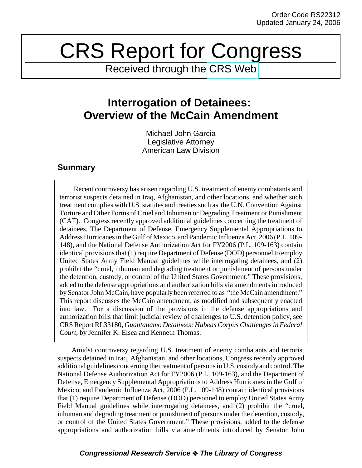## CRS Report for Congress

Received through the [CRS Web](http://www.fas.org/sgp/crs/intel/index.html)

## **Interrogation of Detainees: Overview of the McCain Amendment**

Michael John Garcia Legislative Attorney American Law Division

## **Summary**

Recent controversy has arisen regarding U.S. treatment of enemy combatants and terrorist suspects detained in Iraq, Afghanistan, and other locations, and whether such treatment complies with U.S. statutes and treaties such as the U.N. Convention Against Torture and Other Forms of Cruel and Inhuman or Degrading Treatment or Punishment (CAT). Congress recently approved additional guidelines concerning the treatment of detainees. The Department of Defense, Emergency Supplemental Appropriations to Address Hurricanes in the Gulf of Mexico, and Pandemic Influenza Act, 2006 (P.L. 109- 148), and the National Defense Authorization Act for FY2006 (P.L. 109-163) contain identical provisions that (1) require Department of Defense (DOD) personnel to employ United States Army Field Manual guidelines while interrogating detainees, and (2) prohibit the "cruel, inhuman and degrading treatment or punishment of persons under the detention, custody, or control of the United States Government." These provisions, added to the defense appropriations and authorization bills via amendments introduced by Senator John McCain, have popularly been referred to as "the McCain amendment." This report discusses the McCain amendment, as modified and subsequently enacted into law. For a discussion of the provisions in the defense appropriations and authorization bills that limit judicial review of challenges to U.S. detention policy, see CRS Report RL33180, *Guantanamo Detainees: Habeas Corpus Challenges in Federal Court*, by Jennifer K. Elsea and Kenneth Thomas.

Amidst controversy regarding U.S. treatment of enemy combatants and terrorist suspects detained in Iraq, Afghanistan, and other locations, Congress recently approved additional guidelines concerning the treatment of persons in U.S. custody and control. The National Defense Authorization Act for FY2006 (P.L. 109-163), and the Department of Defense, Emergency Supplemental Appropriations to Address Hurricanes in the Gulf of Mexico, and Pandemic Influenza Act, 2006 (P.L. 109-148) contain identical provisions that (1) require Department of Defense (DOD) personnel to employ United States Army Field Manual guidelines while interrogating detainees, and (2) prohibit the "cruel, inhuman and degrading treatment or punishment of persons under the detention, custody, or control of the United States Government." These provisions, added to the defense appropriations and authorization bills via amendments introduced by Senator John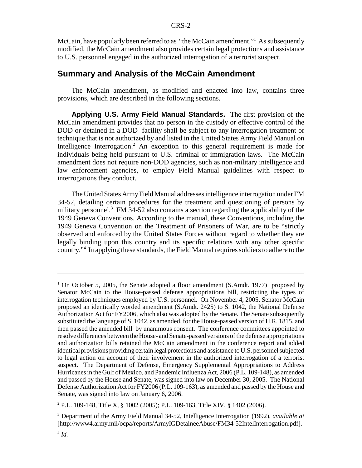McCain, have popularly been referred to as "the McCain amendment."<sup>1</sup> As subsequently modified, the McCain amendment also provides certain legal protections and assistance to U.S. personnel engaged in the authorized interrogation of a terrorist suspect.

## **Summary and Analysis of the McCain Amendment**

The McCain amendment, as modified and enacted into law, contains three provisions, which are described in the following sections.

**Applying U.S. Army Field Manual Standards.** The first provision of the McCain amendment provides that no person in the custody or effective control of the DOD or detained in a DOD facility shall be subject to any interrogation treatment or technique that is not authorized by and listed in the United States Army Field Manual on Intelligence Interrogation.<sup>2</sup> An exception to this general requirement is made for individuals being held pursuant to U.S. criminal or immigration laws. The McCain amendment does not require non-DOD agencies, such as non-military intelligence and law enforcement agencies, to employ Field Manual guidelines with respect to interrogations they conduct.

The United States Army Field Manual addresses intelligence interrogation under FM 34-52, detailing certain procedures for the treatment and questioning of persons by military personnel.<sup>3</sup> FM 34-52 also contains a section regarding the applicability of the 1949 Geneva Conventions. According to the manual, these Conventions, including the 1949 Geneva Convention on the Treatment of Prisoners of War, are to be "strictly observed and enforced by the United States Forces without regard to whether they are legally binding upon this country and its specific relations with any other specific country."4 In applying these standards, the Field Manual requires soldiers to adhere to the

<sup>&</sup>lt;sup>1</sup> On October 5, 2005, the Senate adopted a floor amendment (S.Amdt. 1977) proposed by Senator McCain to the House-passed defense appropriations bill, restricting the types of interrogation techniques employed by U.S. personnel. On November 4, 2005, Senator McCain proposed an identically worded amendment (S.Amdt. 2425) to S. 1042, the National Defense Authorization Act for FY2006, which also was adopted by the Senate. The Senate subsequently substituted the language of S. 1042, as amended, for the House-passed version of H.R. 1815, and then passed the amended bill by unanimous consent. The conference committees appointed to resolve differences between the House- and Senate-passed versions of the defense appropriations and authorization bills retained the McCain amendment in the conference report and added identical provisions providing certain legal protections and assistance to U.S. personnel subjected to legal action on account of their involvement in the authorized interrogation of a terrorist suspect. The Department of Defense, Emergency Supplemental Appropriations to Address Hurricanes in the Gulf of Mexico, and Pandemic Influenza Act, 2006 (P.L. 109-148), as amended and passed by the House and Senate, was signed into law on December 30, 2005. The National Defense Authorization Act for FY2006 (P.L. 109-163), as amended and passed by the House and Senate, was signed into law on January 6, 2006.

<sup>2</sup> P.L. 109-148, Title X, § 1002 (2005); P.L. 109-163, Title XIV, § 1402 (2006).

<sup>3</sup> Department of the Army Field Manual 34-52, Intelligence Interrogation (1992), *available at* [http://www4.army.mil/ocpa/reports/ArmyIGDetaineeAbuse/FM34-52IntelInterrogation.pdf].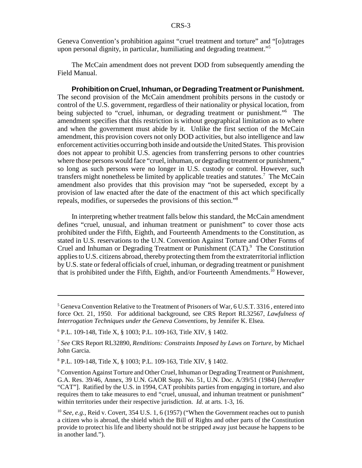Geneva Convention's prohibition against "cruel treatment and torture" and "[o]utrages upon personal dignity, in particular, humiliating and degrading treatment."5

The McCain amendment does not prevent DOD from subsequently amending the Field Manual.

**Prohibition on Cruel, Inhuman, or Degrading Treatment or Punishment.** The second provision of the McCain amendment prohibits persons in the custody or control of the U.S. government, regardless of their nationality or physical location, from being subjected to "cruel, inhuman, or degrading treatment or punishment."<sup>6</sup> The amendment specifies that this restriction is without geographical limitation as to where and when the government must abide by it. Unlike the first section of the McCain amendment, this provision covers not only DOD activities, but also intelligence and law enforcement activities occurring both inside and outside the United States. This provision does not appear to prohibit U.S. agencies from transferring persons to other countries where those persons would face "cruel, inhuman, or degrading treatment or punishment," so long as such persons were no longer in U.S. custody or control. However, such transfers might nonetheless be limited by applicable treaties and statutes.<sup>7</sup> The McCain amendment also provides that this provision may "not be superseded, except by a provision of law enacted after the date of the enactment of this act which specifically repeals, modifies, or supersedes the provisions of this section."8

In interpreting whether treatment falls below this standard, the McCain amendment defines "cruel, unusual, and inhuman treatment or punishment" to cover those acts prohibited under the Fifth, Eighth, and Fourteenth Amendments to the Constitution, as stated in U.S. reservations to the U.N. Convention Against Torture and Other Forms of Cruel and Inhuman or Degrading Treatment or Punishment (CAT).<sup>9</sup> The Constitution applies to U.S. citizens abroad, thereby protecting them from the extraterritorial infliction by U.S. state or federal officials of cruel, inhuman, or degrading treatment or punishment that is prohibited under the Fifth, Eighth, and/or Fourteenth Amendments.<sup>10</sup> However,

<sup>&</sup>lt;sup>5</sup> Geneva Convention Relative to the Treatment of Prisoners of War, 6 U.S.T. 3316, entered into force Oct. 21, 1950. For additional background, see CRS Report RL32567, *Lawfulness of Interrogation Techniques under the Geneva Conventions*, by Jennifer K. Elsea.

<sup>6</sup> P.L. 109-148, Title X, § 1003; P.L. 109-163, Title XIV, § 1402.

<sup>7</sup> *See* CRS Report RL32890, *Renditions: Constraints Imposed by Laws on Torture*, by Michael John Garcia.

<sup>8</sup> P.L. 109-148, Title X, § 1003; P.L. 109-163, Title XIV, § 1402.

<sup>&</sup>lt;sup>9</sup> Convention Against Torture and Other Cruel, Inhuman or Degrading Treatment or Punishment, G.A. Res. 39/46, Annex, 39 U.N. GAOR Supp. No. 51, U.N. Doc. A/39/51 (1984) [*hereafter* "CAT"]. Ratified by the U.S. in 1994, CAT prohibits parties from engaging in torture, and also requires them to take measures to end "cruel, unusual, and inhuman treatment or punishment" within territories under their respective jurisdiction. *Id.* at arts. 1-3, 16.

<sup>10</sup> *See, e.g.*, Reid v. Covert, 354 U.S. 1, 6 (1957) ("When the Government reaches out to punish a citizen who is abroad, the shield which the Bill of Rights and other parts of the Constitution provide to protect his life and liberty should not be stripped away just because he happens to be in another land.").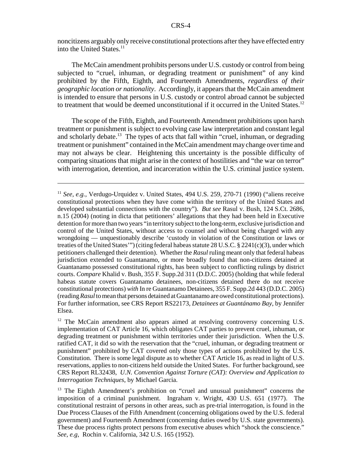noncitizens arguably only receive constitutional protections after they have effected entry into the United States.<sup>11</sup>

The McCain amendment prohibits persons under U.S. custody or control from being subjected to "cruel, inhuman, or degrading treatment or punishment" of any kind prohibited by the Fifth, Eighth, and Fourteenth Amendments, *regardless of their geographic location or nationality*. Accordingly, it appears that the McCain amendment is intended to ensure that persons in U.S. custody or control abroad cannot be subjected to treatment that would be deemed unconstitutional if it occurred in the United States.<sup>12</sup>

The scope of the Fifth, Eighth, and Fourteenth Amendment prohibitions upon harsh treatment or punishment is subject to evolving case law interpretation and constant legal and scholarly debate.<sup>13</sup> The types of acts that fall within "cruel, inhuman, or degrading treatment or punishment" contained in the McCain amendment may change over time and may not always be clear. Heightening this uncertainty is the possible difficulty of comparing situations that might arise in the context of hostilities and "the war on terror" with interrogation, detention, and incarceration within the U.S. criminal justice system.

<sup>&</sup>lt;sup>11</sup> *See, e.g.*, Verdugo-Urquidez v. United States, 494 U.S. 259, 270-71 (1990) ("aliens receive constitutional protections when they have come within the territory of the United States and developed substantial connections with the country"). *But see* Rasul v. Bush, 124 S.Ct. 2686, n.15 (2004) (noting in dicta that petitioners' allegations that they had been held in Executive detention for more than two years "in territory subject to the long-term, exclusive jurisdiction and control of the United States, without access to counsel and without being charged with any wrongdoing — unquestionably describe 'custody in violation of the Constitution or laws or treaties of the United States'") (citing federal habeas statute 28 U.S.C. § 2241(c)(3), under which petitioners challenged their detention). Whether the *Rasul* ruling meant only that federal habeas jurisdiction extended to Guantanamo, or more broadly found that non-citizens detained at Guantanamo possessed constitutional rights, has been subject to conflicting rulings by district courts. *Compare* Khalid v. Bush, 355 F. Supp.2d 311 (D.D.C. 2005) (holding that while federal habeas statute covers Guantanamo detainees, non-citizens detained there do not receive constitutional protections) *with* In re Guantanamo Detainees, 355 F. Supp.2d 443 (D.D.C. 2005) (reading *Rasul* to mean that persons detained at Guantanamo are owed constitutional protections). For further information, see CRS Report RS22173, *Detainees at Guantánamo Bay*, by Jennifer Elsea.

<sup>&</sup>lt;sup>12</sup> The McCain amendment also appears aimed at resolving controversy concerning U.S. implementation of CAT Article 16, which obligates CAT parties to prevent cruel, inhuman, or degrading treatment or punishment within territories under their jurisdiction. When the U.S. ratified CAT, it did so with the reservation that the "cruel, inhuman, or degrading treatment or punishment" prohibited by CAT covered only those types of actions prohibited by the U.S. Constitution. There is some legal dispute as to whether CAT Article 16, as read in light of U.S. reservations, applies to non-citizens held outside the United States. For further background, see CRS Report RL32438, *U.N. Convention Against Torture (CAT): Overview and Application to Interrogation Techniques*, by Michael Garcia.

<sup>&</sup>lt;sup>13</sup> The Eighth Amendment's prohibition on "cruel and unusual punishment" concerns the imposition of a criminal punishment. Ingraham v. Wright, 430 U.S. 651 (1977). The constitutional restraint of persons in other areas, such as pre-trial interrogation, is found in the Due Process Clauses of the Fifth Amendment (concerning obligations owed by the U.S. federal government) and Fourteenth Amendment (concerning duties owed by U.S. state governments). These due process rights protect persons from executive abuses which "shock the conscience." *See, e.g*, Rochin v. California, 342 U.S. 165 (1952).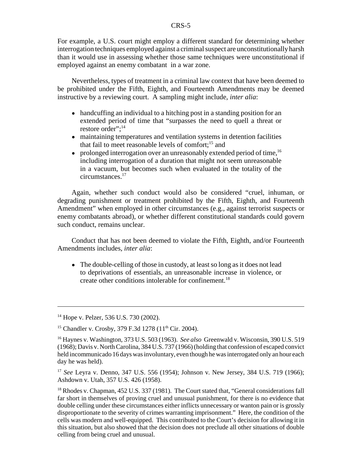For example, a U.S. court might employ a different standard for determining whether interrogation techniques employed against a criminal suspect are unconstitutionally harsh than it would use in assessing whether those same techniques were unconstitutional if employed against an enemy combatant in a war zone.

Nevertheless, types of treatment in a criminal law context that have been deemed to be prohibited under the Fifth, Eighth, and Fourteenth Amendments may be deemed instructive by a reviewing court. A sampling might include, *inter alia*:

- handcuffing an individual to a hitching post in a standing position for an extended period of time that "surpasses the need to quell a threat or restore order":<sup>14</sup>
- maintaining temperatures and ventilation systems in detention facilities that fail to meet reasonable levels of comfort;<sup>15</sup> and
- prolonged interrogation over an unreasonably extended period of time,  $16$ including interrogation of a duration that might not seem unreasonable in a vacuum, but becomes such when evaluated in the totality of the circumstances.17

Again, whether such conduct would also be considered "cruel, inhuman, or degrading punishment or treatment prohibited by the Fifth, Eighth, and Fourteenth Amendment" when employed in other circumstances (e.g., against terrorist suspects or enemy combatants abroad), or whether different constitutional standards could govern such conduct, remains unclear.

Conduct that has not been deemed to violate the Fifth, Eighth, and/or Fourteenth Amendments includes, *inter alia*:

• The double-celling of those in custody, at least so long as it does not lead to deprivations of essentials, an unreasonable increase in violence, or create other conditions intolerable for confinement.<sup>18</sup>

<sup>&</sup>lt;sup>14</sup> Hope v. Pelzer, 536 U.S. 730 (2002).

<sup>&</sup>lt;sup>15</sup> Chandler v. Crosby, 379 F.3d 1278 (11<sup>th</sup> Cir. 2004).

<sup>16</sup> Haynes v. Washington, 373 U.S. 503 (1963). *See also* Greenwald v. Wisconsin, 390 U.S. 519 (1968); Davis v. North Carolina, 384 U.S. 737 (1966) (holding that confession of escaped convict held incommunicado 16 days was involuntary, even though he was interrogated only an hour each day he was held).

<sup>17</sup> *See* Leyra v. Denno, 347 U.S. 556 (1954); Johnson v. New Jersey, 384 U.S. 719 (1966); Ashdown v. Utah, 357 U.S. 426 (1958).

<sup>&</sup>lt;sup>18</sup> Rhodes v. Chapman, 452 U.S. 337 (1981). The Court stated that, "General considerations fall far short in themselves of proving cruel and unusual punishment, for there is no evidence that double celling under these circumstances either inflicts unnecessary or wanton pain or is grossly disproportionate to the severity of crimes warranting imprisonment." Here, the condition of the cells was modern and well-equipped. This contributed to the Court's decision for allowing it in this situation, but also showed that the decision does not preclude all other situations of double celling from being cruel and unusual.